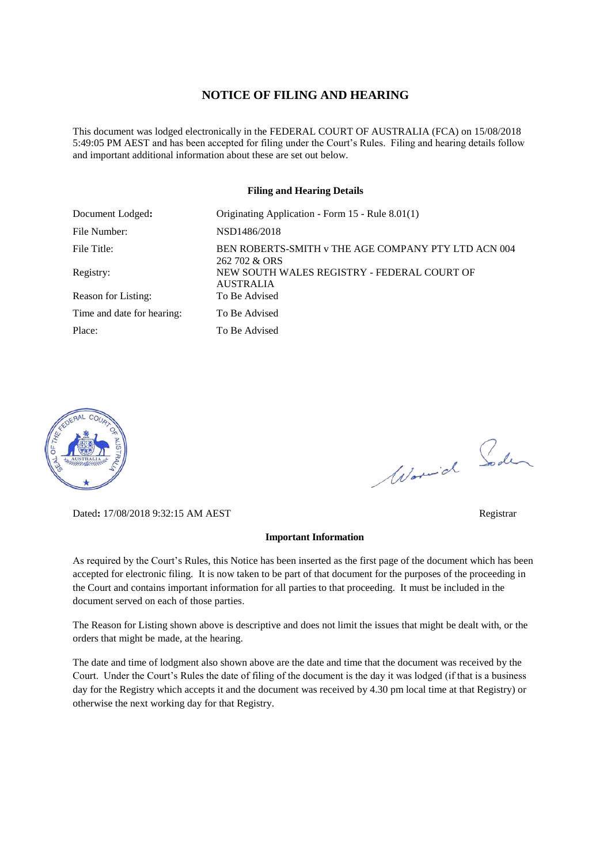#### **NOTICE OF FILING AND HEARING**

This document was lodged electronically in the FEDERAL COURT OF AUSTRALIA (FCA) on 15/08/2018 5:49:05 PM AEST and has been accepted for filing under the Court's Rules. Filing and hearing details follow and important additional information about these are set out below.

#### **Filing and Hearing Details**

| Document Lodged:           | Originating Application - Form 15 - Rule 8.01(1)                     |
|----------------------------|----------------------------------------------------------------------|
| File Number:               | NSD1486/2018                                                         |
| File Title:                | BEN ROBERTS-SMITH v THE AGE COMPANY PTY LTD ACN 004<br>262 702 & ORS |
| Registry:                  | NEW SOUTH WALES REGISTRY - FEDERAL COURT OF<br><b>AUSTRALIA</b>      |
| Reason for Listing:        | To Be Advised                                                        |
| Time and date for hearing: | To Be Advised                                                        |
| Place:                     | To Be Advised                                                        |



Dated**:** 17/08/2018 9:32:15 AM AEST Registrar

#### **Important Information**

As required by the Court's Rules, this Notice has been inserted as the first page of the document which has been accepted for electronic filing. It is now taken to be part of that document for the purposes of the proceeding in the Court and contains important information for all parties to that proceeding. It must be included in the document served on each of those parties.

The Reason for Listing shown above is descriptive and does not limit the issues that might be dealt with, or the orders that might be made, at the hearing.

The date and time of lodgment also shown above are the date and time that the document was received by the Court. Under the Court's Rules the date of filing of the document is the day it was lodged (if that is a business day for the Registry which accepts it and the document was received by 4.30 pm local time at that Registry) or otherwise the next working day for that Registry.

Worwich Soden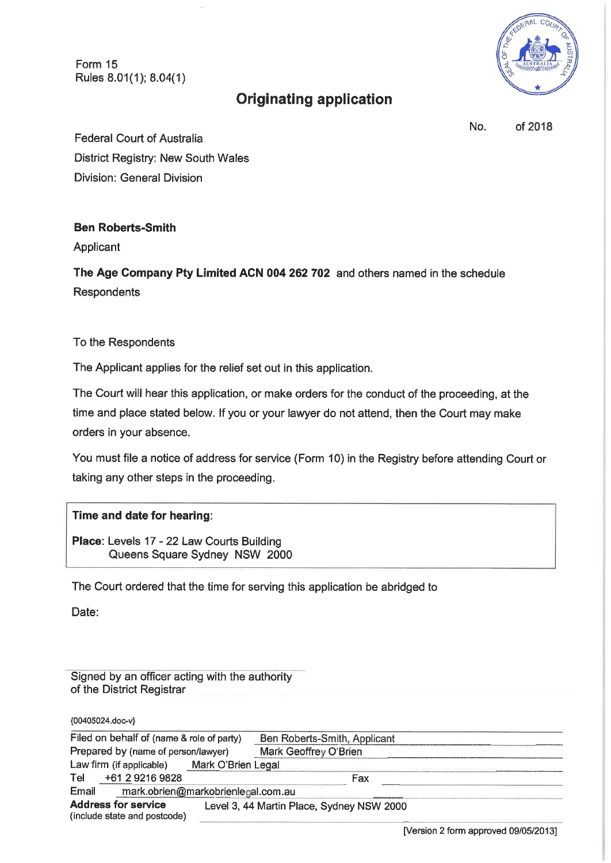Form 15 Rules 8.01(1); 8.04(1)



# **Originating application**

No. of 2018

**Federal Court of Australia** District Registry: New South Wales **Division: General Division** 

### **Ben Roberts-Smith**

Applicant

The Age Company Pty Limited ACN 004 262 702 and others named in the schedule Respondents

To the Respondents

The Applicant applies for the relief set out in this application.

The Court will hear this application, or make orders for the conduct of the proceeding, at the time and place stated below. If you or your lawyer do not attend, then the Court may make orders in your absence.

You must file a notice of address for service (Form 10) in the Registry before attending Court or taking any other steps in the proceeding.

## Time and date for hearing:

Place: Levels 17 - 22 Law Courts Building Queens Square Sydney NSW 2000

The Court ordered that the time for serving this application be abridged to

Date:

Signed by an officer acting with the authority of the District Registrar

{00405024.doc-v}

| Filed on behalf of (name & role of party)                  |                 |                                    | Ben Roberts-Smith, Applicant              |  |
|------------------------------------------------------------|-----------------|------------------------------------|-------------------------------------------|--|
| Prepared by (name of person/lawyer)                        |                 |                                    | Mark Geoffrey O'Brien                     |  |
| Law firm (if applicable)<br>Mark O'Brien Legal             |                 |                                    |                                           |  |
| Tel                                                        | +61 2 9216 9828 |                                    | Fax                                       |  |
| Email                                                      |                 | mark.obrien@markobrienlegal.com.au |                                           |  |
| <b>Address for service</b><br>(include state and postcode) |                 |                                    | Level 3, 44 Martin Place, Sydney NSW 2000 |  |

[Version 2 form approved 09/05/2013]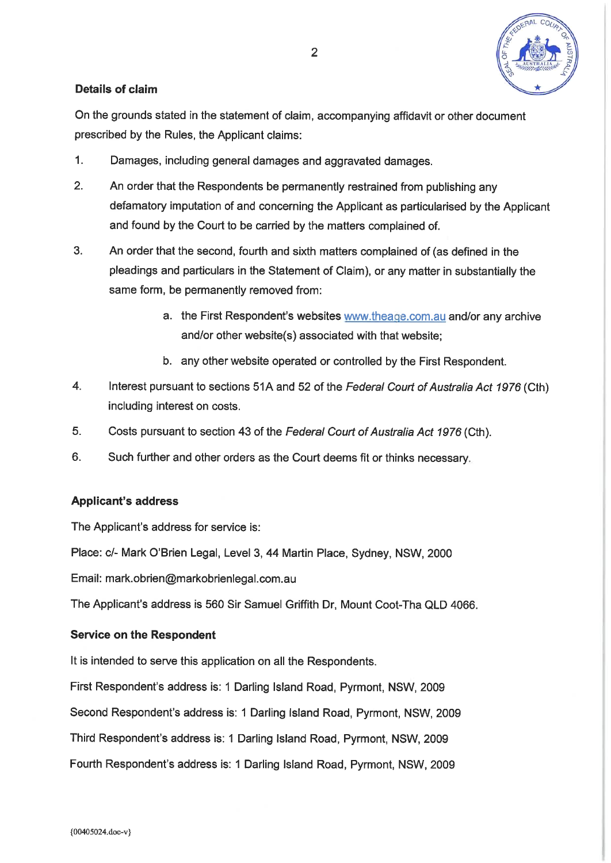

## **Details of claim**

On the grounds stated in the statement of claim, accompanying affidavit or other document prescribed by the Rules, the Applicant claims:

- $1.$ Damages, including general damages and aggravated damages.
- $2<sup>1</sup>$ An order that the Respondents be permanently restrained from publishing any defamatory imputation of and concerning the Applicant as particularised by the Applicant and found by the Court to be carried by the matters complained of.
- $3<sub>1</sub>$ An order that the second, fourth and sixth matters complained of (as defined in the pleadings and particulars in the Statement of Claim), or any matter in substantially the same form, be permanently removed from:
	- a. the First Respondent's websites www.theage.com.au and/or any archive and/or other website(s) associated with that website;
	- b. any other website operated or controlled by the First Respondent.
- $4.$ Interest pursuant to sections 51A and 52 of the Federal Court of Australia Act 1976 (Cth) including interest on costs.
- 5. Costs pursuant to section 43 of the Federal Court of Australia Act 1976 (Cth).
- 6. Such further and other orders as the Court deems fit or thinks necessary.

### **Applicant's address**

The Applicant's address for service is:

Place: c/- Mark O'Brien Legal, Level 3, 44 Martin Place, Sydney, NSW, 2000

Email: mark.obrien@markobrienlegal.com.au

The Applicant's address is 560 Sir Samuel Griffith Dr, Mount Coot-Tha QLD 4066.

### **Service on the Respondent**

It is intended to serve this application on all the Respondents.

First Respondent's address is: 1 Darling Island Road, Pyrmont, NSW, 2009

Second Respondent's address is: 1 Darling Island Road, Pyrmont, NSW, 2009

Third Respondent's address is: 1 Darling Island Road, Pyrmont, NSW, 2009

Fourth Respondent's address is: 1 Darling Island Road, Pyrmont, NSW, 2009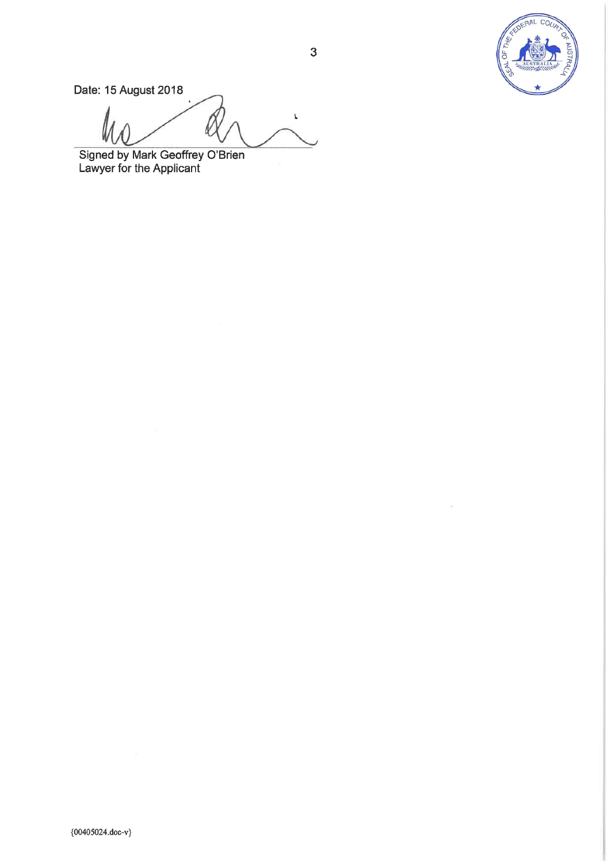

Date: 15 August 2018

 $\bar{L}$ 

Signed by Mark Geoffrey O'Brien<br>Lawyer for the Applicant